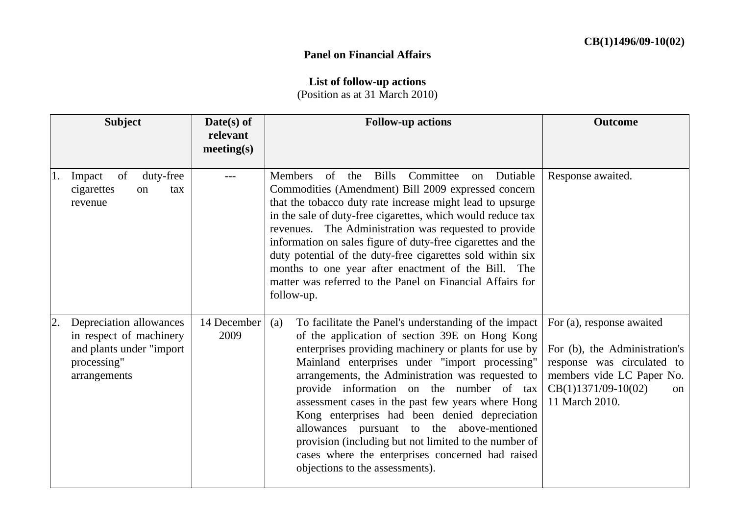## **Panel on Financial Affairs**

## **List of follow-up actions**

(Position as at 31 March 2010)

| <b>Subject</b>                                                                                                       | Date(s) of<br>relevant<br>meeting(s) | <b>Follow-up actions</b>                                                                                                                                                                                                                                                                                                                                                                                                                                                                                                                                                                                                      | <b>Outcome</b>                                                                                                                                                               |
|----------------------------------------------------------------------------------------------------------------------|--------------------------------------|-------------------------------------------------------------------------------------------------------------------------------------------------------------------------------------------------------------------------------------------------------------------------------------------------------------------------------------------------------------------------------------------------------------------------------------------------------------------------------------------------------------------------------------------------------------------------------------------------------------------------------|------------------------------------------------------------------------------------------------------------------------------------------------------------------------------|
| of<br>duty-free<br>Impact<br>1.<br>cigarettes<br>on<br>tax<br>revenue                                                |                                      | <b>Members</b><br>Bills<br>Committee<br>Dutiable<br>of<br>the<br>on<br>Commodities (Amendment) Bill 2009 expressed concern<br>that the tobacco duty rate increase might lead to upsurge<br>in the sale of duty-free cigarettes, which would reduce tax<br>revenues. The Administration was requested to provide<br>information on sales figure of duty-free cigarettes and the<br>duty potential of the duty-free cigarettes sold within six<br>months to one year after enactment of the Bill. The<br>matter was referred to the Panel on Financial Affairs for<br>follow-up.                                                | Response awaited.                                                                                                                                                            |
| Depreciation allowances<br>2.<br>in respect of machinery<br>and plants under "import"<br>processing"<br>arrangements | 14 December<br>2009                  | To facilitate the Panel's understanding of the impact<br>(a)<br>of the application of section 39E on Hong Kong<br>enterprises providing machinery or plants for use by<br>Mainland enterprises under "import processing"<br>arrangements, the Administration was requested to<br>provide information on the number of tax<br>assessment cases in the past few years where Hong<br>Kong enterprises had been denied depreciation<br>allowances pursuant to the above-mentioned<br>provision (including but not limited to the number of<br>cases where the enterprises concerned had raised<br>objections to the assessments). | For (a), response awaited<br>For (b), the Administration's<br>response was circulated to<br>members vide LC Paper No.<br>$CB(1)1371/09-10(02)$<br>$\alpha$<br>11 March 2010. |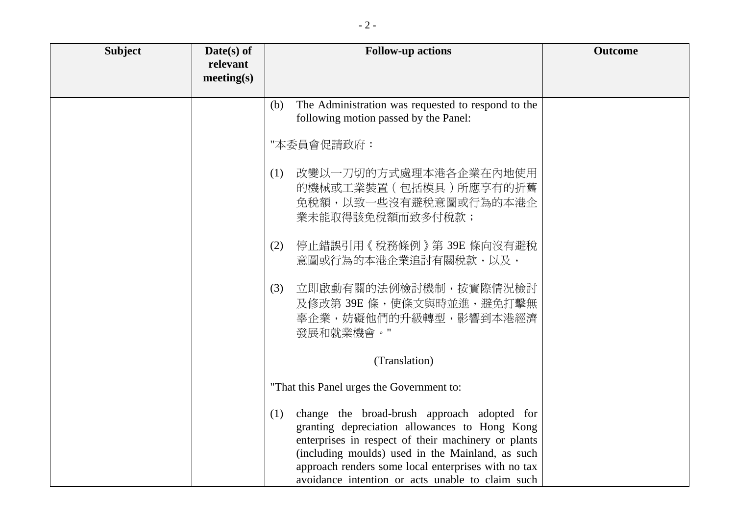| <b>Subject</b> | $Date(s)$ of<br>relevant<br>meeting(s) | <b>Follow-up actions</b>                                                                                                                                                                                                                                                                                                  | <b>Outcome</b> |
|----------------|----------------------------------------|---------------------------------------------------------------------------------------------------------------------------------------------------------------------------------------------------------------------------------------------------------------------------------------------------------------------------|----------------|
|                |                                        | The Administration was requested to respond to the<br>(b)<br>following motion passed by the Panel:                                                                                                                                                                                                                        |                |
|                |                                        | "本委員會促請政府:                                                                                                                                                                                                                                                                                                                |                |
|                |                                        | 改變以一刀切的方式處理本港各企業在內地使用<br>(1)<br>的機械或工業裝置 (包括模具) 所應享有的折舊<br>免稅額,以致一些沒有避稅意圖或行為的本港企<br>業未能取得該免稅額而致多付稅款;                                                                                                                                                                                                                      |                |
|                |                                        | 停止錯誤引用《稅務條例》第39E條向沒有避稅<br>(2)<br>意圖或行為的本港企業追討有關稅款,以及,                                                                                                                                                                                                                                                                     |                |
|                |                                        | 立即啟動有關的法例檢討機制,按實際情況檢討<br>(3)<br>及修改第 39E 條, 使條文與時並進, 避免打擊無<br>辜企業,妨礙他們的升級轉型,影響到本港經濟<br>發展和就業機會。"                                                                                                                                                                                                                          |                |
|                |                                        | (Translation)                                                                                                                                                                                                                                                                                                             |                |
|                |                                        | "That this Panel urges the Government to:                                                                                                                                                                                                                                                                                 |                |
|                |                                        | change the broad-brush approach adopted for<br>(1)<br>granting depreciation allowances to Hong Kong<br>enterprises in respect of their machinery or plants<br>(including moulds) used in the Mainland, as such<br>approach renders some local enterprises with no tax<br>avoidance intention or acts unable to claim such |                |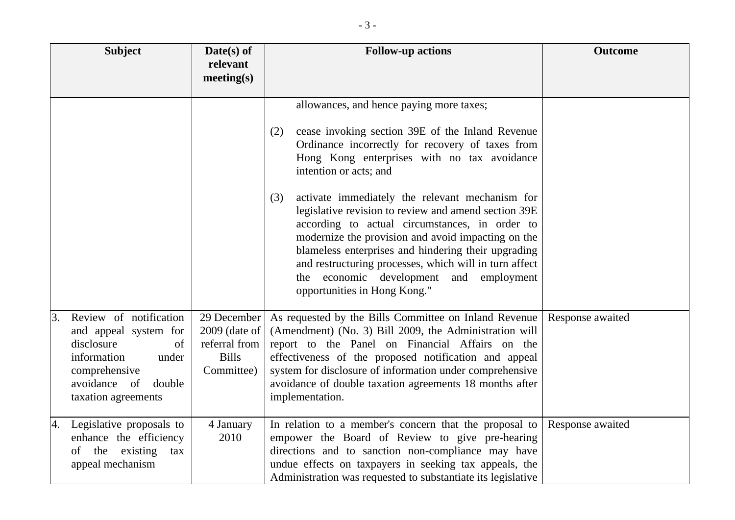|    | <b>Subject</b>                                                                                                                                                | $Date(s)$ of<br>relevant<br>meeting(s)                                        | <b>Follow-up actions</b>                                                                                                                                                                                                                                                                                                                                                                                                                                                                                                                                                                                                                               | <b>Outcome</b>   |
|----|---------------------------------------------------------------------------------------------------------------------------------------------------------------|-------------------------------------------------------------------------------|--------------------------------------------------------------------------------------------------------------------------------------------------------------------------------------------------------------------------------------------------------------------------------------------------------------------------------------------------------------------------------------------------------------------------------------------------------------------------------------------------------------------------------------------------------------------------------------------------------------------------------------------------------|------------------|
|    |                                                                                                                                                               |                                                                               | allowances, and hence paying more taxes;<br>cease invoking section 39E of the Inland Revenue<br>(2)<br>Ordinance incorrectly for recovery of taxes from<br>Hong Kong enterprises with no tax avoidance<br>intention or acts; and<br>activate immediately the relevant mechanism for<br>(3)<br>legislative revision to review and amend section 39E<br>according to actual circumstances, in order to<br>modernize the provision and avoid impacting on the<br>blameless enterprises and hindering their upgrading<br>and restructuring processes, which will in turn affect<br>the economic development and employment<br>opportunities in Hong Kong." |                  |
| 3. | Review of notification<br>and appeal system for<br>disclosure<br>of<br>information<br>under<br>comprehensive<br>avoidance of<br>double<br>taxation agreements | 29 December<br>$2009$ (date of<br>referral from<br><b>Bills</b><br>Committee) | As requested by the Bills Committee on Inland Revenue<br>(Amendment) (No. 3) Bill 2009, the Administration will<br>report to the Panel on Financial Affairs on the<br>effectiveness of the proposed notification and appeal<br>system for disclosure of information under comprehensive<br>avoidance of double taxation agreements 18 months after<br>implementation.                                                                                                                                                                                                                                                                                  | Response awaited |
| 4. | Legislative proposals to<br>enhance the efficiency<br>the existing<br>of<br>tax<br>appeal mechanism                                                           | 4 January<br>2010                                                             | In relation to a member's concern that the proposal to<br>empower the Board of Review to give pre-hearing<br>directions and to sanction non-compliance may have<br>undue effects on taxpayers in seeking tax appeals, the<br>Administration was requested to substantiate its legislative                                                                                                                                                                                                                                                                                                                                                              | Response awaited |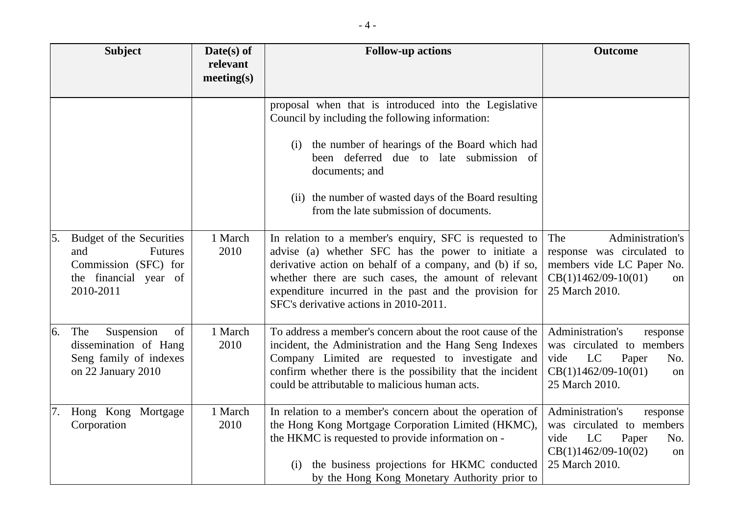|    | <b>Subject</b>                                                                                   | $Date(s)$ of<br>relevant<br>meeting(s) | <b>Follow-up actions</b>                                                                                                                                                                                                                                                                                                                                                                                                                         | <b>Outcome</b>                                                                                                                           |
|----|--------------------------------------------------------------------------------------------------|----------------------------------------|--------------------------------------------------------------------------------------------------------------------------------------------------------------------------------------------------------------------------------------------------------------------------------------------------------------------------------------------------------------------------------------------------------------------------------------------------|------------------------------------------------------------------------------------------------------------------------------------------|
| 5. | Budget of the Securities<br><b>Futures</b><br>and                                                | 1 March<br>2010                        | proposal when that is introduced into the Legislative<br>Council by including the following information:<br>the number of hearings of the Board which had<br>(i)<br>been deferred due to late submission of<br>documents; and<br>(ii) the number of wasted days of the Board resulting<br>from the late submission of documents.<br>In relation to a member's enquiry, SFC is requested to<br>advise (a) whether SFC has the power to initiate a | Administration's<br>The<br>response was circulated to                                                                                    |
|    | Commission (SFC) for<br>the financial year of<br>2010-2011                                       |                                        | derivative action on behalf of a company, and (b) if so,<br>whether there are such cases, the amount of relevant<br>expenditure incurred in the past and the provision for<br>SFC's derivative actions in 2010-2011.                                                                                                                                                                                                                             | members vide LC Paper No.<br>$CB(1)1462/09-10(01)$<br><sub>on</sub><br>25 March 2010.                                                    |
| 6. | Suspension<br>The<br>of<br>dissemination of Hang<br>Seng family of indexes<br>on 22 January 2010 | 1 March<br>2010                        | To address a member's concern about the root cause of the<br>incident, the Administration and the Hang Seng Indexes<br>Company Limited are requested to investigate and<br>confirm whether there is the possibility that the incident<br>could be attributable to malicious human acts.                                                                                                                                                          | Administration's<br>response<br>was circulated to members<br>LC<br>vide<br>Paper<br>No.<br>$CB(1)1462/09-10(01)$<br>on<br>25 March 2010. |
|    | Hong Kong Mortgage<br>Corporation                                                                | 1 March<br>2010                        | In relation to a member's concern about the operation of<br>the Hong Kong Mortgage Corporation Limited (HKMC),<br>the HKMC is requested to provide information on -<br>the business projections for HKMC conducted<br>(i)<br>by the Hong Kong Monetary Authority prior to                                                                                                                                                                        | Administration's<br>response<br>was circulated to members<br>LC<br>vide<br>Paper<br>No.<br>$CB(1)1462/09-10(02)$<br>on<br>25 March 2010. |